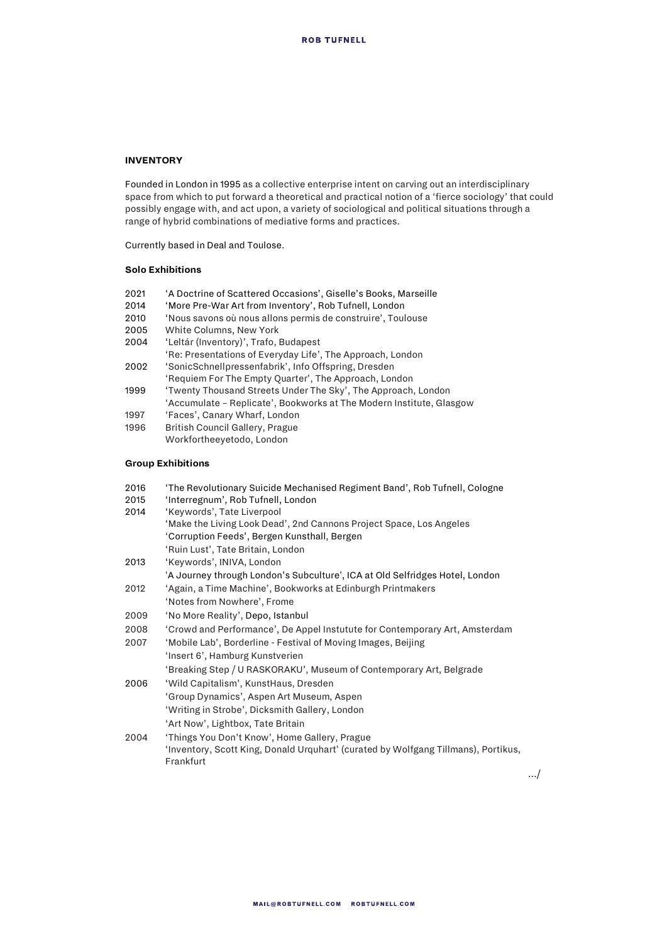## **INVENTORY**

Founded in London in 1995 as a collective enterprise intent on carving out an interdisciplinary space from which to put forward a theoretical and practical notion of a 'fierce sociology' that could possibly engage with, and act upon, a variety of sociological and political situations through a range of hybrid combinations of mediative forms and practices.

Currently based in Deal and Toulose.

## **Solo Exhibitions**

- 2021 <sup>'</sup>A Doctrine of Scattered Occasions', Giselle's Books, Marseille<br>2014 'More Pre-War Art from Inventory'. Rob Tufnell. London 'More Pre-War Art from Inventory', Rob Tufnell, London 2010 'Nous savons où nous allons permis de construire', Toulouse 2005 White Columns, New York 2004 'Leltár (Inventory)', Trafo, Budapest 'Re: Presentations of Everyday Life', The Approach, London 2002 'SonicSchnellpressenfabrik', Info Offspring, Dresden 'Requiem For The Empty Quarter', The Approach, London 1999 'Twenty Thousand Streets Under The Sky', The Approach, London
- 'Accumulate Replicate', Bookworks at The Modern Institute, Glasgow 1997 'Faces', Canary Wharf, London
- 1996 British Council Gallery, Prague
	- Workfortheeyetodo, London

## **Group Exhibitions**

| 2016 | 'The Revolutionary Suicide Mechanised Regiment Band', Rob Tufnell, Cologne         |
|------|------------------------------------------------------------------------------------|
| 2015 | 'Interregnum', Rob Tufnell, London                                                 |
| 2014 | 'Keywords', Tate Liverpool                                                         |
|      | 'Make the Living Look Dead', 2nd Cannons Project Space, Los Angeles                |
|      | 'Corruption Feeds', Bergen Kunsthall, Bergen                                       |
|      | 'Ruin Lust', Tate Britain, London                                                  |
| 2013 | 'Keywords', INIVA, London                                                          |
|      | 'A Journey through London's Subculture', ICA at Old Selfridges Hotel, London       |
| 2012 | 'Again, a Time Machine', Bookworks at Edinburgh Printmakers                        |
|      | 'Notes from Nowhere', Frome                                                        |
| 2009 | 'No More Reality', Depo, Istanbul                                                  |
| 2008 | 'Crowd and Performance', De Appel Instutute for Contemporary Art, Amsterdam        |
| 2007 | 'Mobile Lab', Borderline - Festival of Moving Images, Beijing                      |
|      | 'Insert 6', Hamburg Kunstverien                                                    |
|      | 'Breaking Step / U RASKORAKU', Museum of Contemporary Art, Belgrade                |
| 2006 | 'Wild Capitalism', KunstHaus, Dresden                                              |
|      | 'Group Dynamics', Aspen Art Museum, Aspen                                          |
|      | 'Writing in Strobe', Dicksmith Gallery, London                                     |
|      | 'Art Now', Lightbox, Tate Britain                                                  |
| 2004 | 'Things You Don't Know', Home Gallery, Prague                                      |
|      | 'Inventory, Scott King, Donald Urquhart' (curated by Wolfgang Tillmans), Portikus, |
|      | Frankfurt                                                                          |